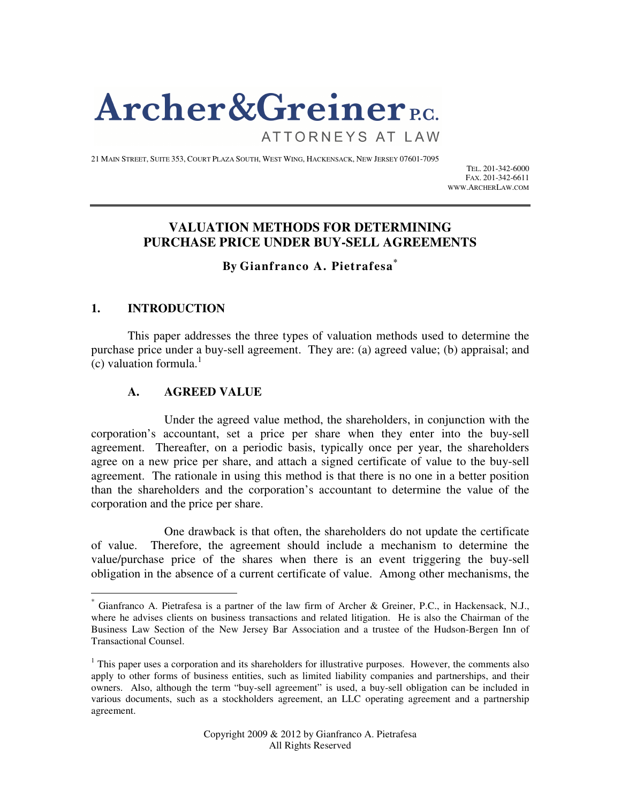# **Archer & Greiner** P.C.

ATTORNEYS AT LAW

21 MAIN STREET, SUITE 353, COURT PLAZA SOUTH, WEST WING, HACKENSACK, NEW JERSEY 07601-7095

TEL. 201-342-6000 FAX. 201-342-6611 WWW.ARCHERLAW.COM

# **VALUATION METHODS FOR DETERMINING PURCHASE PRICE UNDER BUY-SELL AGREEMENTS**

**By Gianfranco A. Pietrafesa\***

## **1. INTRODUCTION**

-

 This paper addresses the three types of valuation methods used to determine the purchase price under a buy-sell agreement. They are: (a) agreed value; (b) appraisal; and  $(c)$  valuation formula.<sup>1</sup>

# **A. AGREED VALUE**

Under the agreed value method, the shareholders, in conjunction with the corporation's accountant, set a price per share when they enter into the buy-sell agreement. Thereafter, on a periodic basis, typically once per year, the shareholders agree on a new price per share, and attach a signed certificate of value to the buy-sell agreement. The rationale in using this method is that there is no one in a better position than the shareholders and the corporation's accountant to determine the value of the corporation and the price per share.

One drawback is that often, the shareholders do not update the certificate of value. Therefore, the agreement should include a mechanism to determine the value/purchase price of the shares when there is an event triggering the buy-sell obligation in the absence of a current certificate of value. Among other mechanisms, the

<sup>\*</sup> Gianfranco A. Pietrafesa is a partner of the law firm of Archer & Greiner, P.C., in Hackensack, N.J., where he advises clients on business transactions and related litigation. He is also the Chairman of the Business Law Section of the New Jersey Bar Association and a trustee of the Hudson-Bergen Inn of Transactional Counsel.

 $<sup>1</sup>$  This paper uses a corporation and its shareholders for illustrative purposes. However, the comments also</sup> apply to other forms of business entities, such as limited liability companies and partnerships, and their owners. Also, although the term "buy-sell agreement" is used, a buy-sell obligation can be included in various documents, such as a stockholders agreement, an LLC operating agreement and a partnership agreement.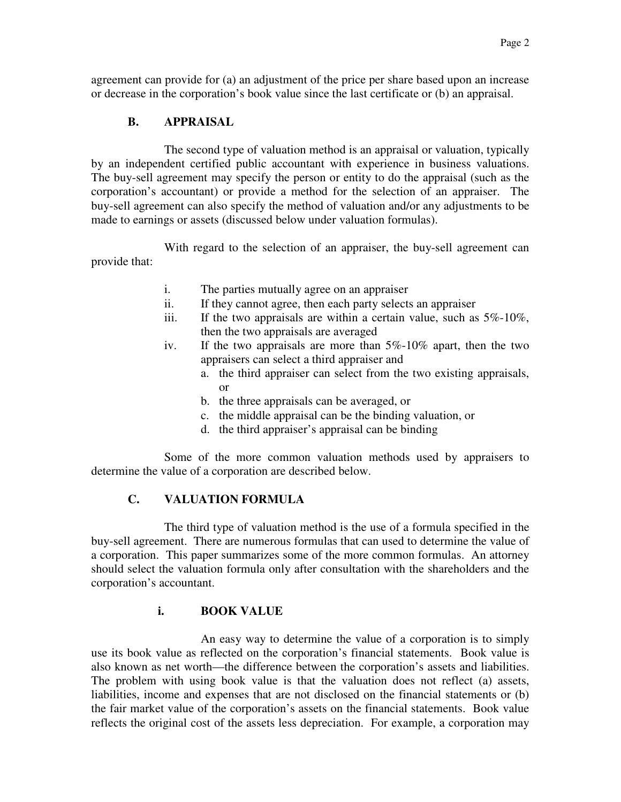agreement can provide for (a) an adjustment of the price per share based upon an increase or decrease in the corporation's book value since the last certificate or (b) an appraisal.

## **B. APPRAISAL**

The second type of valuation method is an appraisal or valuation, typically by an independent certified public accountant with experience in business valuations. The buy-sell agreement may specify the person or entity to do the appraisal (such as the corporation's accountant) or provide a method for the selection of an appraiser. The buy-sell agreement can also specify the method of valuation and/or any adjustments to be made to earnings or assets (discussed below under valuation formulas).

With regard to the selection of an appraiser, the buy-sell agreement can provide that:

- i. The parties mutually agree on an appraiser
- ii. If they cannot agree, then each party selects an appraiser
- iii. If the two appraisals are within a certain value, such as 5%-10%, then the two appraisals are averaged
- iv. If the two appraisals are more than 5%-10% apart, then the two appraisers can select a third appraiser and
	- a. the third appraiser can select from the two existing appraisals, or
	- b. the three appraisals can be averaged, or
	- c. the middle appraisal can be the binding valuation, or
	- d. the third appraiser's appraisal can be binding

Some of the more common valuation methods used by appraisers to determine the value of a corporation are described below.

## **C. VALUATION FORMULA**

The third type of valuation method is the use of a formula specified in the buy-sell agreement. There are numerous formulas that can used to determine the value of a corporation. This paper summarizes some of the more common formulas. An attorney should select the valuation formula only after consultation with the shareholders and the corporation's accountant.

## **i. BOOK VALUE**

An easy way to determine the value of a corporation is to simply use its book value as reflected on the corporation's financial statements. Book value is also known as net worth—the difference between the corporation's assets and liabilities. The problem with using book value is that the valuation does not reflect (a) assets, liabilities, income and expenses that are not disclosed on the financial statements or (b) the fair market value of the corporation's assets on the financial statements. Book value reflects the original cost of the assets less depreciation. For example, a corporation may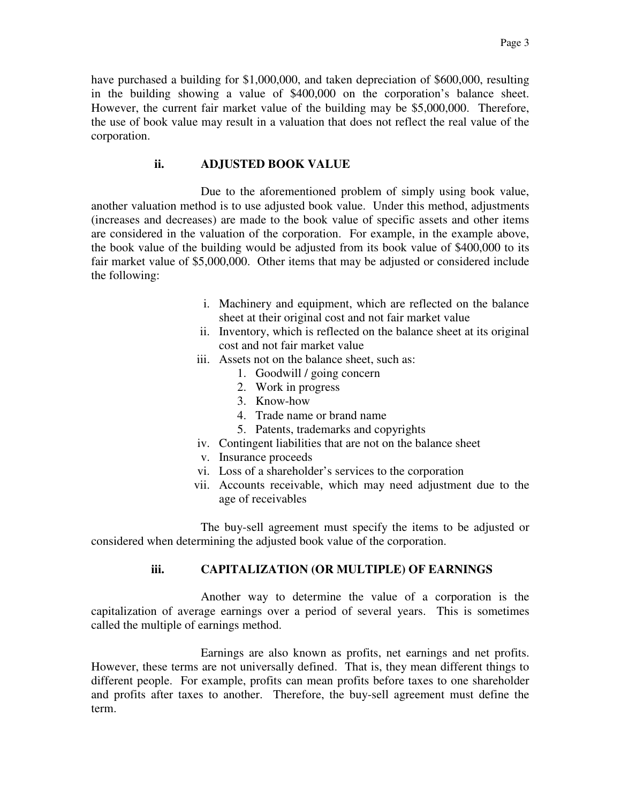have purchased a building for \$1,000,000, and taken depreciation of \$600,000, resulting in the building showing a value of \$400,000 on the corporation's balance sheet. However, the current fair market value of the building may be \$5,000,000. Therefore, the use of book value may result in a valuation that does not reflect the real value of the corporation.

#### **ii. ADJUSTED BOOK VALUE**

Due to the aforementioned problem of simply using book value, another valuation method is to use adjusted book value. Under this method, adjustments (increases and decreases) are made to the book value of specific assets and other items are considered in the valuation of the corporation. For example, in the example above, the book value of the building would be adjusted from its book value of \$400,000 to its fair market value of \$5,000,000. Other items that may be adjusted or considered include the following:

- i. Machinery and equipment, which are reflected on the balance sheet at their original cost and not fair market value
- ii. Inventory, which is reflected on the balance sheet at its original cost and not fair market value
- iii. Assets not on the balance sheet, such as:
	- 1. Goodwill / going concern
	- 2. Work in progress
	- 3. Know-how
	- 4. Trade name or brand name
	- 5. Patents, trademarks and copyrights
- iv. Contingent liabilities that are not on the balance sheet
- v. Insurance proceeds
- vi. Loss of a shareholder's services to the corporation
- vii. Accounts receivable, which may need adjustment due to the age of receivables

The buy-sell agreement must specify the items to be adjusted or considered when determining the adjusted book value of the corporation.

## **iii. CAPITALIZATION (OR MULTIPLE) OF EARNINGS**

Another way to determine the value of a corporation is the capitalization of average earnings over a period of several years. This is sometimes called the multiple of earnings method.

Earnings are also known as profits, net earnings and net profits. However, these terms are not universally defined. That is, they mean different things to different people. For example, profits can mean profits before taxes to one shareholder and profits after taxes to another. Therefore, the buy-sell agreement must define the term.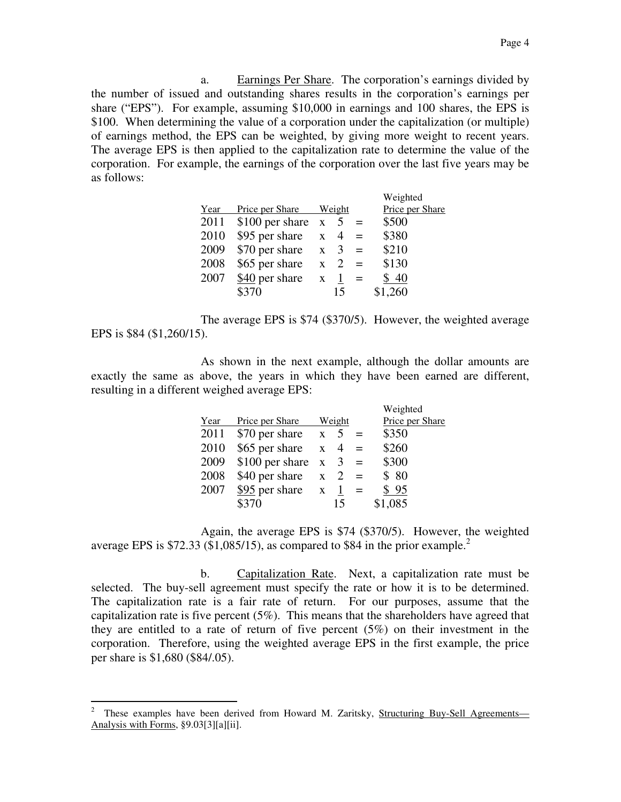a. Earnings Per Share. The corporation's earnings divided by the number of issued and outstanding shares results in the corporation's earnings per share ("EPS"). For example, assuming \$10,000 in earnings and 100 shares, the EPS is \$100. When determining the value of a corporation under the capitalization (or multiple) of earnings method, the EPS can be weighted, by giving more weight to recent years. The average EPS is then applied to the capitalization rate to determine the value of the corporation. For example, the earnings of the corporation over the last five years may be as follows:

|      |                 |              |                             |     | Weighted        |
|------|-----------------|--------------|-----------------------------|-----|-----------------|
| Year | Price per Share | Weight       |                             |     | Price per Share |
| 2011 | \$100 per share | $\mathbf{X}$ |                             |     | \$500           |
| 2010 | \$95 per share  | $\mathbf{x}$ | $\overline{4}$              |     | \$380           |
| 2009 | \$70 per share  | $\mathbf{X}$ | 3                           | $=$ | \$210           |
| 2008 | \$65 per share  | $\mathbf{x}$ | $\mathcal{D}_{\mathcal{L}}$ | $=$ | \$130           |
| 2007 | \$40 per share  | $\mathbf{x}$ |                             | $=$ | \$40            |
|      | \$370           |              | 15                          |     | \$1,260         |

The average EPS is \$74 (\$370/5). However, the weighted average EPS is \$84 (\$1,260/15).

As shown in the next example, although the dollar amounts are exactly the same as above, the years in which they have been earned are different, resulting in a different weighed average EPS:

|      |                        |              |    |     | Weighted        |
|------|------------------------|--------------|----|-----|-----------------|
| Year | Price per Share        | Weight       |    |     | Price per Share |
| 2011 | $$70$ per share $x$    |              | 5  | $=$ | \$350           |
| 2010 | \$65 per share         | $\mathbf{X}$ | 4  | $=$ | \$260           |
| 2009 | $$100$ per share x     |              |    | $=$ | \$300           |
| 2008 | \$40 per share         | $\mathbf{X}$ | 2  | $=$ | \$80            |
| 2007 | \$95 per share $x = x$ |              |    |     | \$95            |
|      | \$370                  |              | 15 |     | \$1,085         |

Again, the average EPS is \$74 (\$370/5). However, the weighted average EPS is \$72.33 (\$1,085/15), as compared to \$84 in the prior example.<sup>2</sup>

b. Capitalization Rate. Next, a capitalization rate must be selected. The buy-sell agreement must specify the rate or how it is to be determined. The capitalization rate is a fair rate of return. For our purposes, assume that the capitalization rate is five percent (5%). This means that the shareholders have agreed that they are entitled to a rate of return of five percent (5%) on their investment in the corporation. Therefore, using the weighted average EPS in the first example, the price per share is \$1,680 (\$84/.05).

 $\frac{1}{2}$ These examples have been derived from Howard M. Zaritsky, Structuring Buy-Sell Agreements— Analysis with Forms, §9.03[3][a][ii].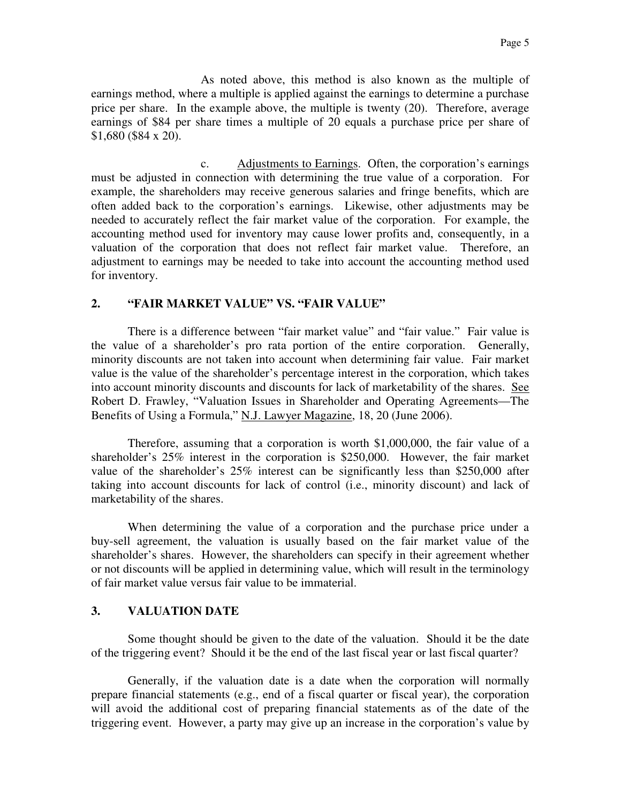As noted above, this method is also known as the multiple of earnings method, where a multiple is applied against the earnings to determine a purchase price per share. In the example above, the multiple is twenty (20). Therefore, average earnings of \$84 per share times a multiple of 20 equals a purchase price per share of \$1,680 (\$84 x 20).

 c. Adjustments to Earnings. Often, the corporation's earnings must be adjusted in connection with determining the true value of a corporation. For example, the shareholders may receive generous salaries and fringe benefits, which are often added back to the corporation's earnings. Likewise, other adjustments may be needed to accurately reflect the fair market value of the corporation. For example, the accounting method used for inventory may cause lower profits and, consequently, in a valuation of the corporation that does not reflect fair market value. Therefore, an adjustment to earnings may be needed to take into account the accounting method used for inventory.

#### **2. "FAIR MARKET VALUE" VS. "FAIR VALUE"**

There is a difference between "fair market value" and "fair value." Fair value is the value of a shareholder's pro rata portion of the entire corporation. Generally, minority discounts are not taken into account when determining fair value. Fair market value is the value of the shareholder's percentage interest in the corporation, which takes into account minority discounts and discounts for lack of marketability of the shares. See Robert D. Frawley, "Valuation Issues in Shareholder and Operating Agreements—The Benefits of Using a Formula," N.J. Lawyer Magazine, 18, 20 (June 2006).

Therefore, assuming that a corporation is worth \$1,000,000, the fair value of a shareholder's 25% interest in the corporation is \$250,000. However, the fair market value of the shareholder's 25% interest can be significantly less than \$250,000 after taking into account discounts for lack of control (i.e., minority discount) and lack of marketability of the shares.

When determining the value of a corporation and the purchase price under a buy-sell agreement, the valuation is usually based on the fair market value of the shareholder's shares. However, the shareholders can specify in their agreement whether or not discounts will be applied in determining value, which will result in the terminology of fair market value versus fair value to be immaterial.

#### **3. VALUATION DATE**

Some thought should be given to the date of the valuation. Should it be the date of the triggering event? Should it be the end of the last fiscal year or last fiscal quarter?

Generally, if the valuation date is a date when the corporation will normally prepare financial statements (e.g., end of a fiscal quarter or fiscal year), the corporation will avoid the additional cost of preparing financial statements as of the date of the triggering event. However, a party may give up an increase in the corporation's value by